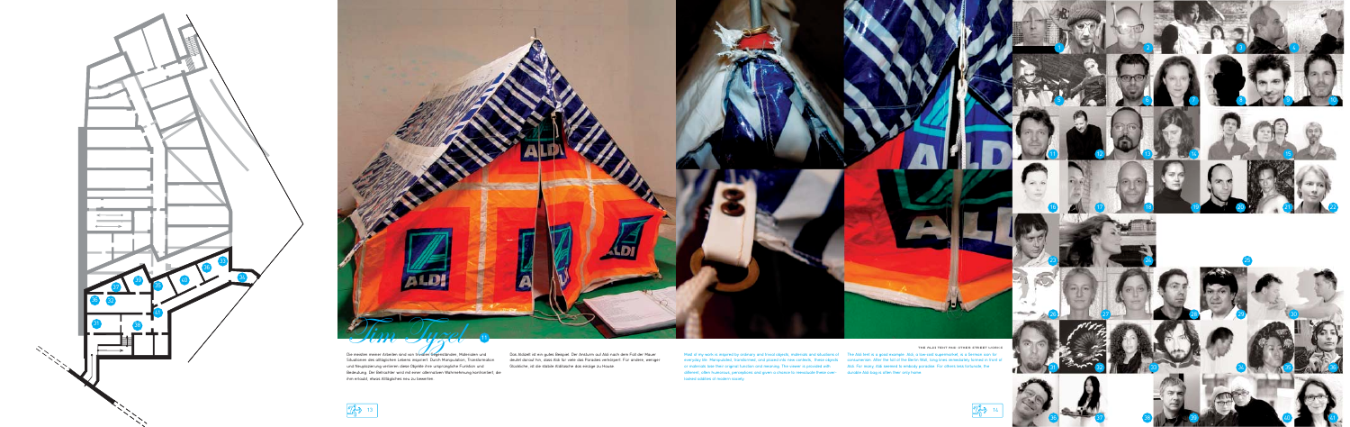everyday life. Manipulated, transformed, and placed into new contexts, these objects consumerism. After the fall of the Berlin Wall, long lines immediately formed in front of or materials lose their original function and meaning. The viewer is provided with Aldi. For many, Aldi seemed to embody paradise. For others less fortunate, the different, often humorous, perceptions and given a chance to reevaluate these over-durable Aldi bag is often their only home. looked oddities of modern society.



the Aldi tent and other Street works

Most of my work is inspired by ordinary and trivial objects, materials and situations of which a late the Aldi tent is a good example. Aldi, a low-cost supermarket, is a German icon for

Die meisten meiner Arbeiten sind von trivialen Gegenständen, Materialen und Situationen des alltäglichen Lebens inspiriert. Durch Manipulation, Transformation und Neuplazierung verlieren diese Objekte ihre ursprüngliche Funktion und Bedeutung. Der Betrachter wird mit einer alternativen Wahrnehmung konfrontiert, die ihm erlaubt, etwas Alltägliches neu zu bewerten.

 $\frac{72}{3}$  13

Das Aldizelt ist ein gutes Beispiel. Der Ansturm auf Aldi nach dem Fall der Mauer deutet darauf hin, dass Aldi für viele das Paradies verkörpert. Für andere, weniger

Glückliche, ist die stabile Alditasche das einzige zu Hause.







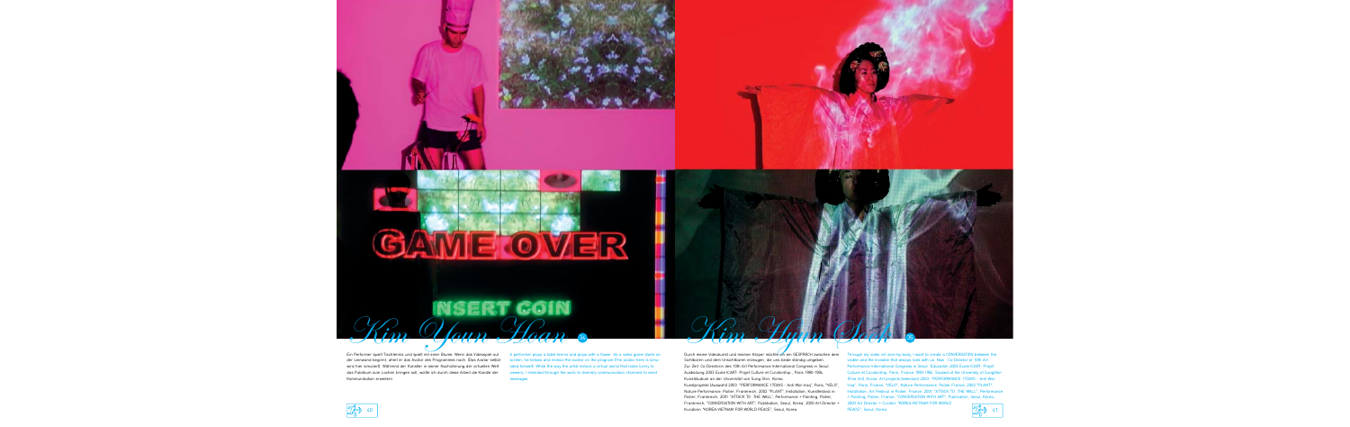## **GAME OVER**

 $\hat{u}_m$  Oleun Hean

Ein Performer spielt Tischtennis und spielt mit einer Blume. Wenn das Videospiel auf der Leinwand beginnt, ahmt er das Avatar des Programmes nach. (Das Avatar selbst wird hier simuliert). Während der Künstler in seiner Nachahmung der virtuellen Welt das Publikum zum Lachen bringen soll, wollte ich durch diese Arbeit die Kanäle der Kommunikation erweitern.

A performer plays a table tennis and plays with a flower. As a video game starts on screen, he follows and mimics the avatar on the program.(The avatar here is simulated himself). While the way the artist mimics a virtual world that looks funny to viewers, I intended through the work to diversify communication channels to send messages.

Durch meine Videokunst und meinen Körper möchte ich ein GESPRÄCH zwischen dem Sichtbaren und dem Unsichtbaren erzeugen, die uns beide ständig umgeben. Zur Zeit: Co-Directorin des 10th Art Performance International Congress in Seoul Ausbildung 2003 Ecole ICART- Projet Culture et Curatorship , Paris 1990-1994. Kunststudium an der Universität von Sung Shin, Korea.

Kim Haun Scott

Kunstprojekte (Auswahl) 2003. "PERFORMANCE 17DAYS - Anti War-Iraq", Paris; "VELO", Nature Performance, Poitier, Frankreich; 2002 "PLANT", Installation, Kunstfestival in Poitier, Frankreich; 2001 "ATTACK TO THE WALL", Performance + Painting, Poitier, Frankreich; "CONVERSATION WITH ART", Publikation, Seoul, Korea; 2000 Art Director + Kuratorin "KOREA-VIETNAM FOR WORLD PEACE", Seoul, Korea

Through my video art and my body, I want to create a CONVERSATION between the visible and the invisible that always lives with us. Now : Co-Director of 10th Art Performance International Congress in Seoul Education 2003 Ecole ICART- Projet Culture et Curatorship, Paris, France 1990-1994. Studied at the University of SungShin (Fine Art), Korea. Art projects (selection) 2003. "PERFORMANCE 17DAYS - Anti War-Iraq", Paris, France; "VELO", Nature Performance, Poitier France; 2002 "PLANT", Installation, Art Festival in Poitier, France; 2001 "ATTACK TO THE WALL", Performance + Painting, Poitier, France; "CONVERSATION WITH ART", Publication, Seoul, Korea; 2000 Art Director + Curator "KOREA-VIETNAM FOR WORLD

PEACE", Seoul, Korea



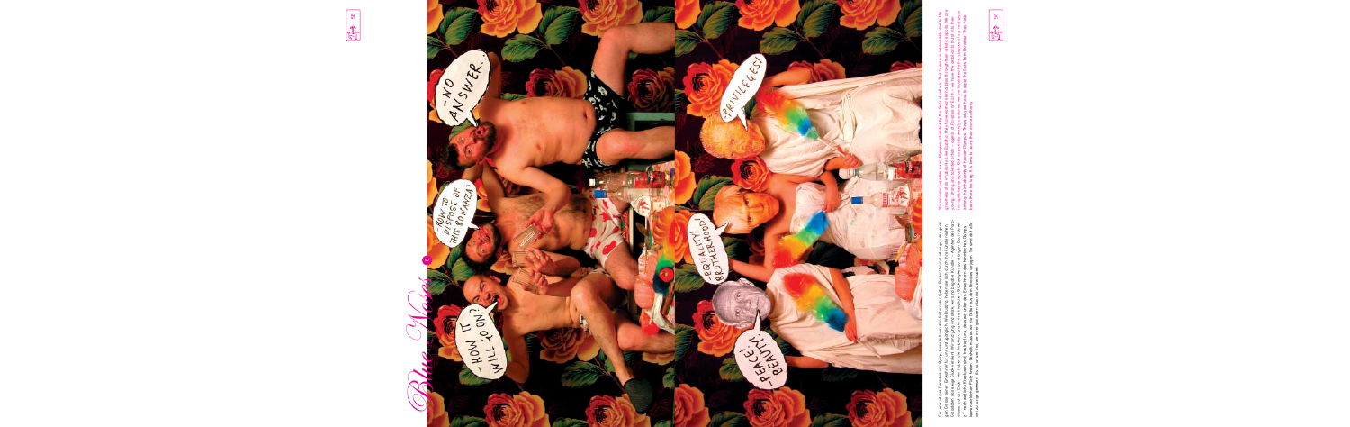



Für uns ist das Paradies ein Olymp, besiedelt von den Göttern der Kultur. Dieser Himmel ist wegen der geistigen of Siese Seiner Einwohner für uns unzugänglich. Wie Buddha haben sie sich durch ihre künstlerischen Grosstaten Grosstaten das ewige Glück verdient. Wir sind jung und stark, wir sind begabte Künstler – Agenten des Para-Für uns ist das Paradies ein Olymp, besiedelt von den Göttern der Kultur. Dieser Himmel ist wegen der geistidieses auf der Erde – wir haben die Ambition, uns in ihre friedlichen Glückseligkeit zu drängen. Doch da wir keinen wirklichen Platz finden. Deshalb müssen wir die Götter aus dem Paradies verjagen. Sie sind dort alle gen Grösse seiner Einwohner für uns unzugänglich. Wie Buddha haben sie sich durch ihre künstlerischen z.T. noch weltliche Kreaturen sind, frustriert uns, dass wir unter den Einwohnern des himmlischen Olymps viel zu lange gewesen. Es ist an der Zeit, sie ihrer göttlichen Autorität zu berauben.

We consider paradise as an Olympus, inhabited by the Gods of culture. This heaven is inaccessible due to the<br>greatness of its inhabitants. Like Buddna, they have earned eternal bliss through their artistic explots. We are<br> greatness of its inhabitants. Like Buddha, they have earned eternal bliss through their artistic exploits. We are tranquil bliss as equals. But, as partially worldly creatures, we are frustrated by the absence of our real place We consider paradise as an Olympus, inhabited by the Gods of culture. This heaven is inaccessible due to the among the inhabitants of heaven-Olympus. This is why we have to expel the Gods from Paradise. They have young, strong and talented artists – agents of Paradise on Earth – we have the ambition to burst into their been there too long. It is time to usurp their divine authority.

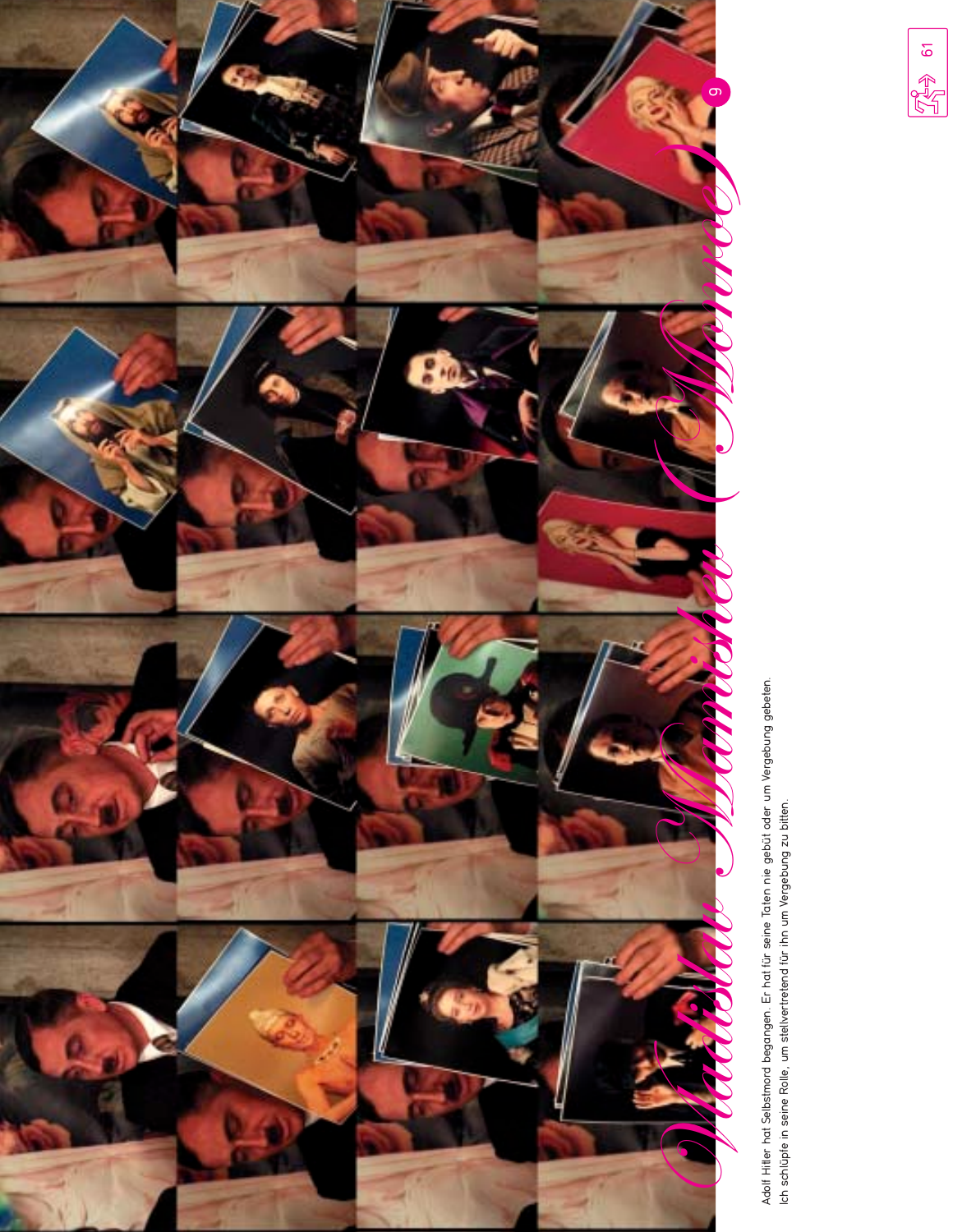

Adolf Hitler hat Selbstmord begangen. Er hat für seine Taten nie gebüt oder um Vergebung gebeten.<br>Ich schlüpfe in seine Rolle, um stellvertretend für ihn um Vergebung zu bitten.

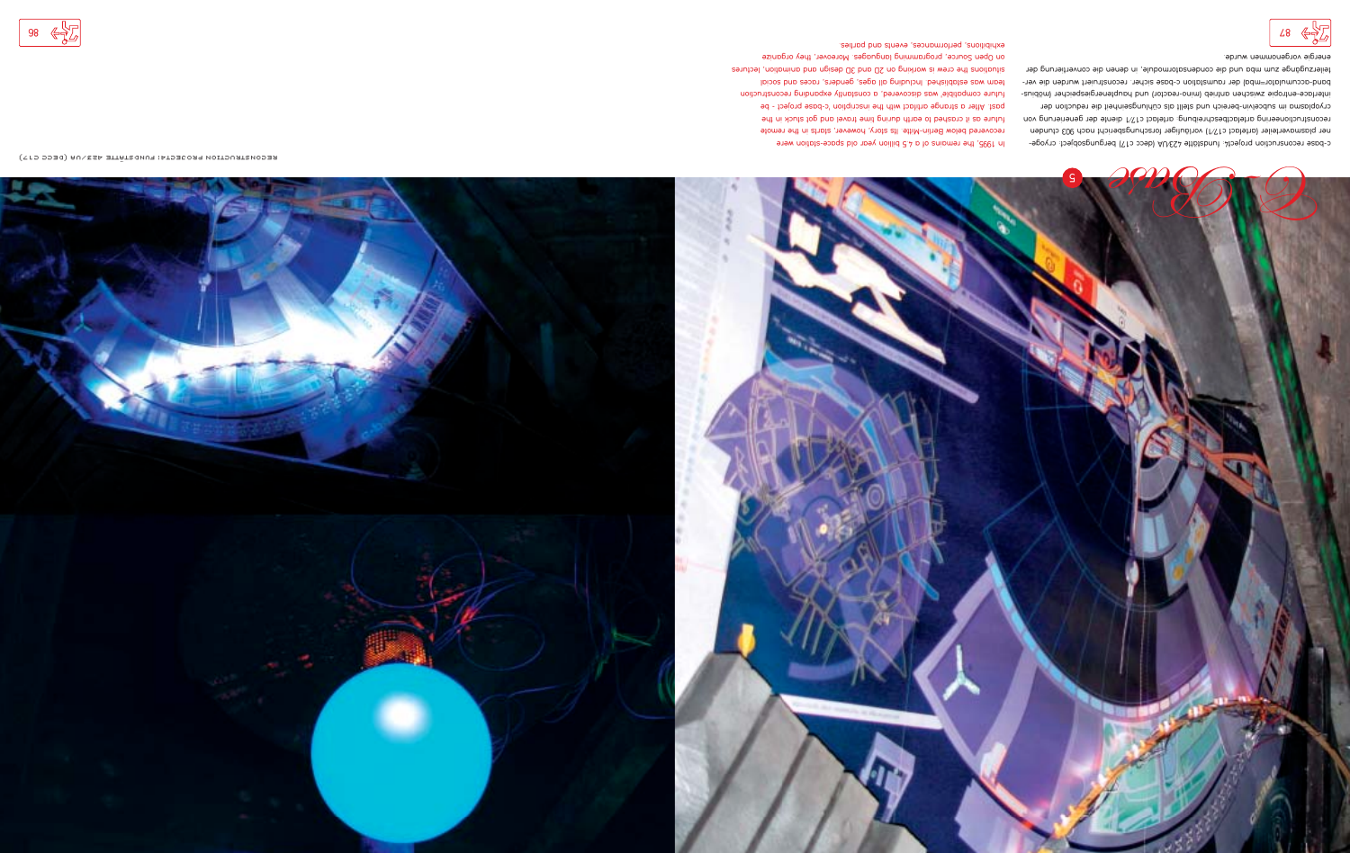

c-base reconsruction project4: fundstätte 423/UA (decc c17) bergungsobject: cryogener plasmaverteiler (artefact c17/1) vorläufiger forschungsbericht nach 903 ctunden reconstructioneering artefactbeschreibung: artefact c17/1 diente der generierung von cryoplasma im subcelvin-bereich und stellt als cühlungseinheit die reduction der interface-entropie zwischen antrieb (mino-reactor) und hauptenergiespeicher (möbiusband-accumulator=mba) der raumstation c-base sicher. reconstruiert wurden die verteilerzugänge zum mba nud die condensatormodule, in denen die convertierung der energie vorgenommen wurde.

In 1995, the remains of a 4.5 billion year old space-station were recovered below Berlin-Mitte. Its story, however, starts in the remote future as it crashed to earth during time travel and got stuck in the past. After a strange artifact with the inscription 'c-base project - be future compatible' was discovered, a constantly expanding reconstruction team was established. Including all ages, genders, races and social situations the crew is working on 2D and 3D design and includes on Open Source, programming languages. Moreover, they organize expipitions, performances, events and parties.

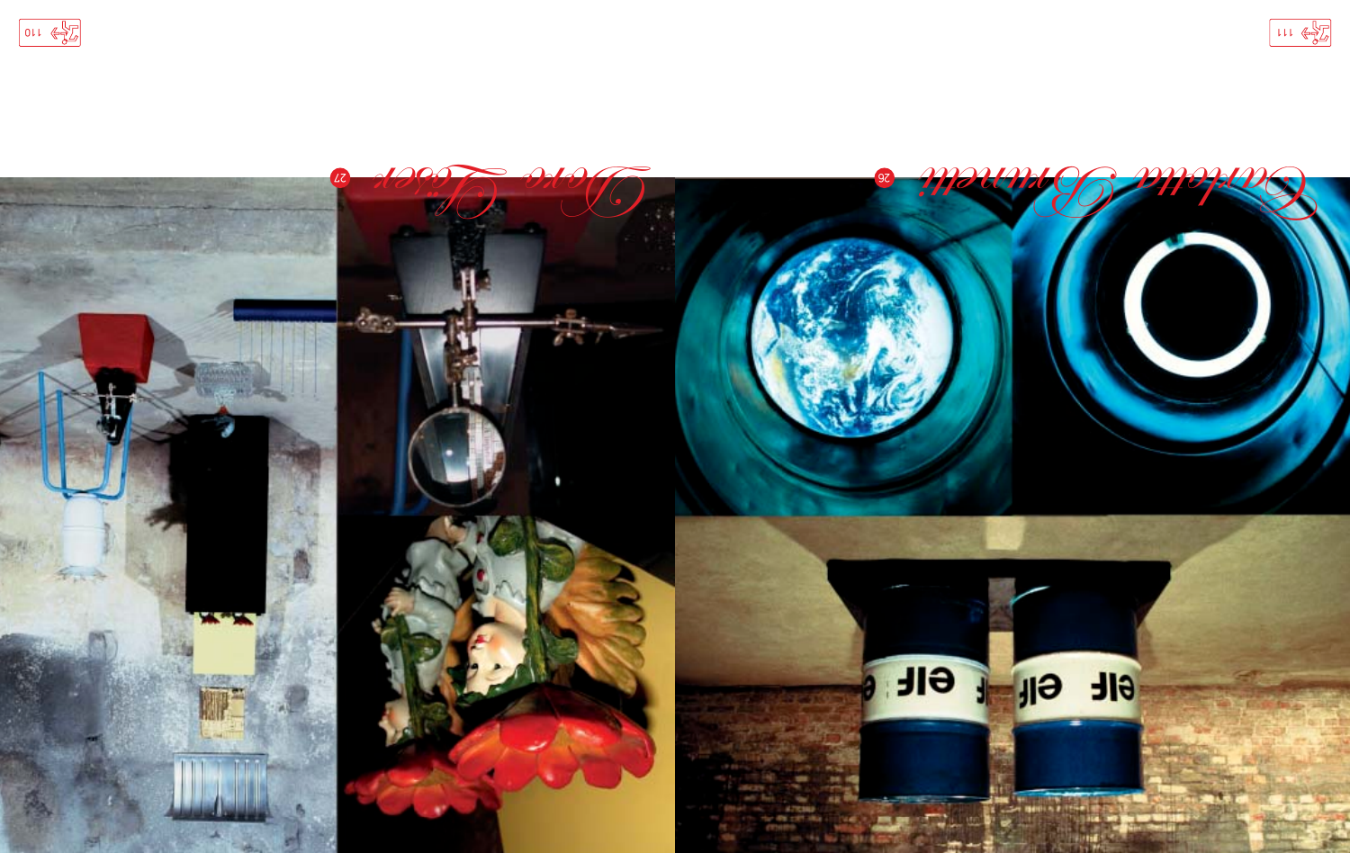



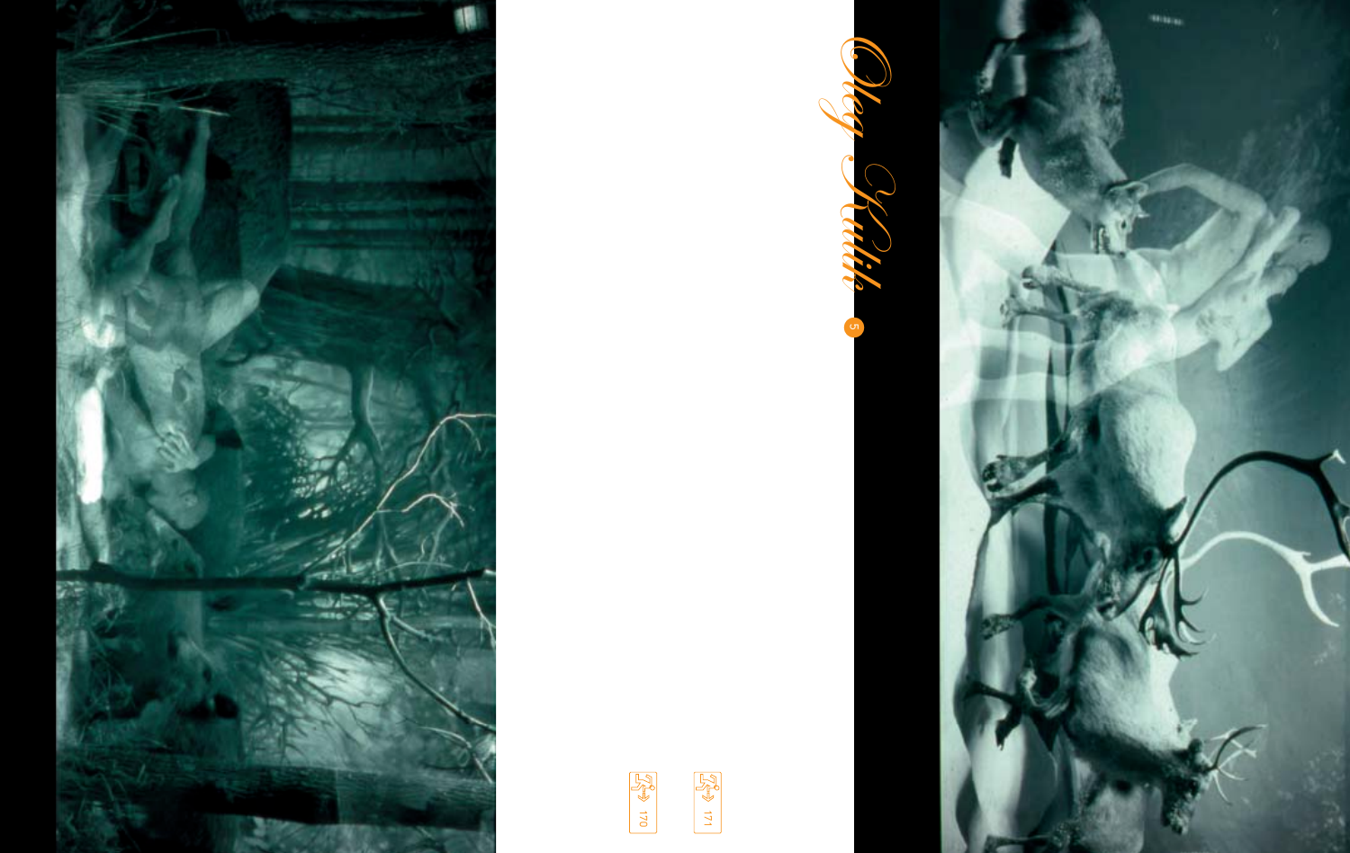



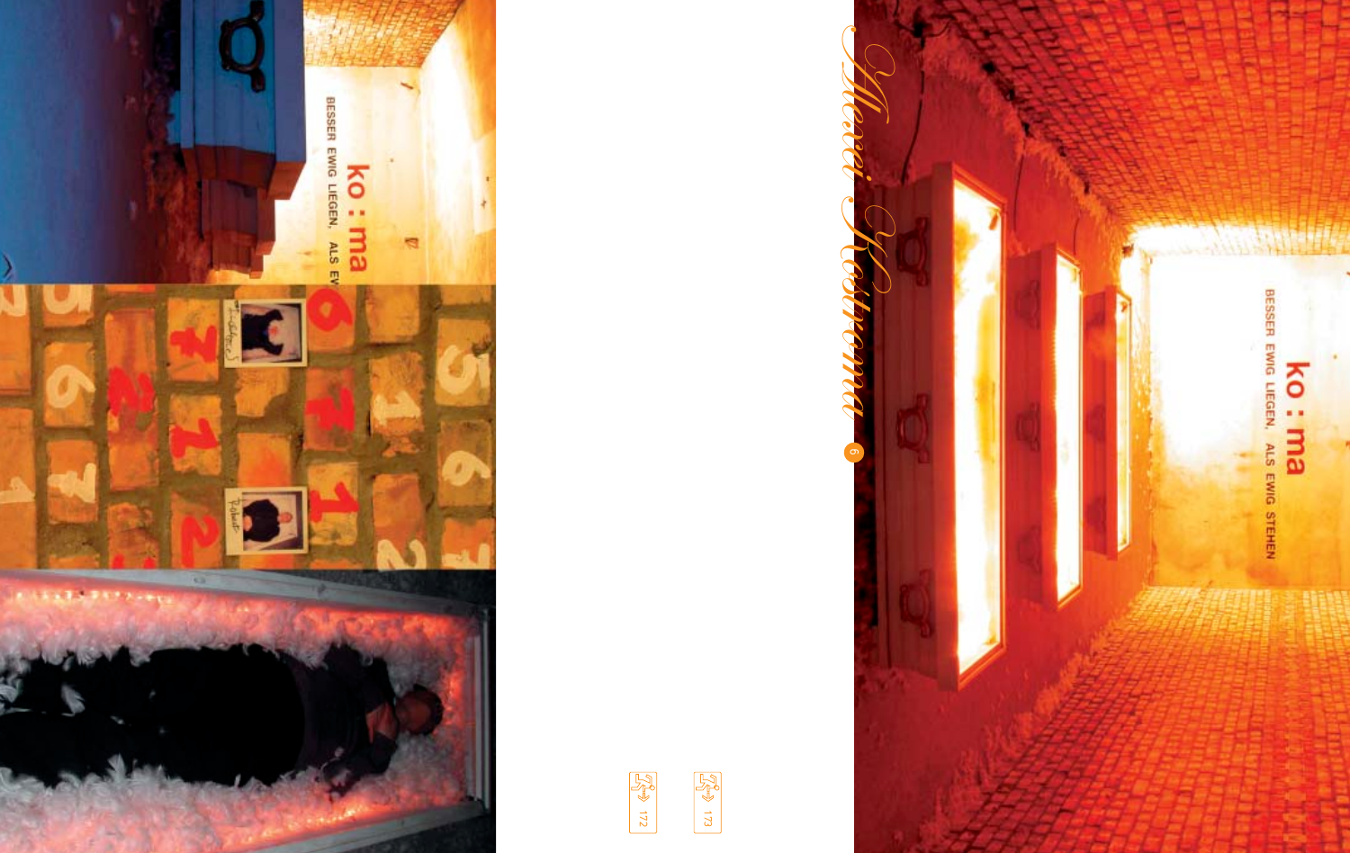





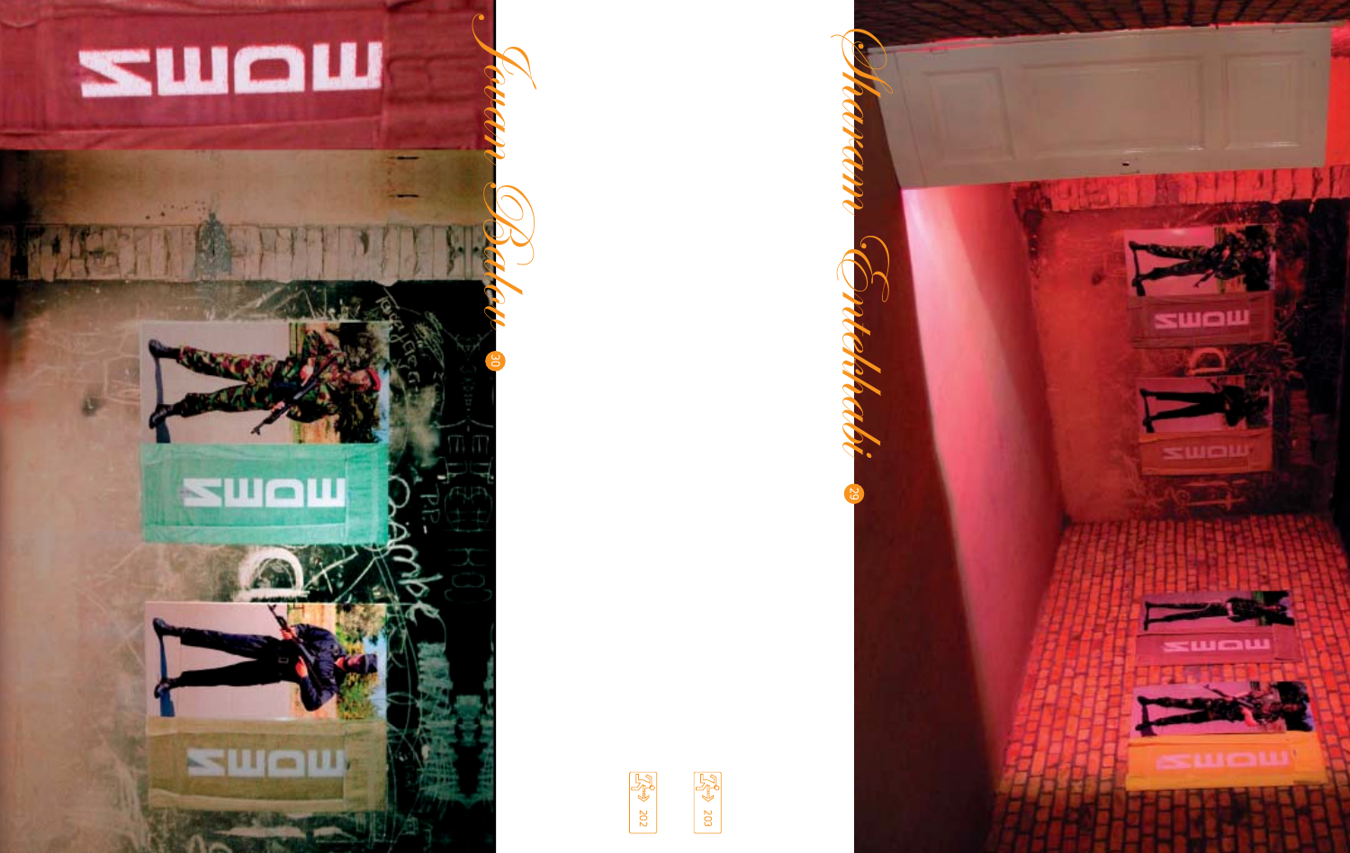

**SWOW** 

**SWOW**